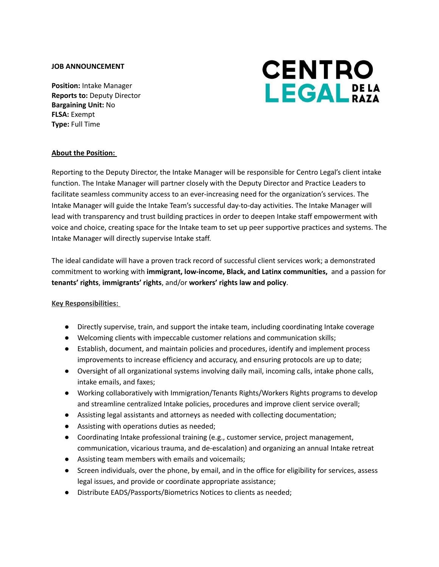### **JOB ANNOUNCEMENT**

**Position:** Intake Manager **Reports to:** Deputy Director **Bargaining Unit:** No **FLSA:** Exempt **Type:** Full Time



### **About the Position:**

Reporting to the Deputy Director, the Intake Manager will be responsible for Centro Legal's client intake function. The Intake Manager will partner closely with the Deputy Director and Practice Leaders to facilitate seamless community access to an ever-increasing need for the organization's services. The Intake Manager will guide the Intake Team's successful day-to-day activities. The Intake Manager will lead with transparency and trust building practices in order to deepen Intake staff empowerment with voice and choice, creating space for the Intake team to set up peer supportive practices and systems. The Intake Manager will directly supervise Intake staff.

The ideal candidate will have a proven track record of successful client services work; a demonstrated commitment to working with **immigrant, low-income, Black, and Latinx communities,** and a passion for **tenants' rights**, **immigrants' rights**, and/or **workers' rights law and policy**.

#### **Key Responsibilities:**

- Directly supervise, train, and support the intake team, including coordinating Intake coverage
- Welcoming clients with impeccable customer relations and communication skills;
- Establish, document, and maintain policies and procedures, identify and implement process improvements to increase efficiency and accuracy, and ensuring protocols are up to date;
- Oversight of all organizational systems involving daily mail, incoming calls, intake phone calls, intake emails, and faxes;
- Working collaboratively with Immigration/Tenants Rights/Workers Rights programs to develop and streamline centralized Intake policies, procedures and improve client service overall;
- Assisting legal assistants and attorneys as needed with collecting documentation;
- Assisting with operations duties as needed;
- Coordinating Intake professional training (e.g., customer service, project management, communication, vicarious trauma, and de-escalation) and organizing an annual Intake retreat
- Assisting team members with emails and voicemails;
- Screen individuals, over the phone, by email, and in the office for eligibility for services, assess legal issues, and provide or coordinate appropriate assistance;
- Distribute EADS/Passports/Biometrics Notices to clients as needed;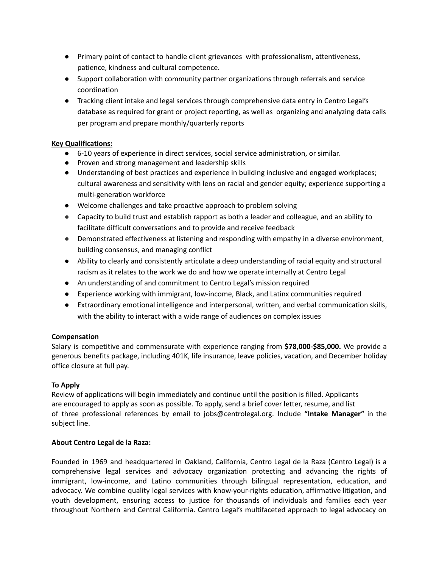- Primary point of contact to handle client grievances with professionalism, attentiveness, patience, kindness and cultural competence.
- Support collaboration with community partner organizations through referrals and service coordination
- Tracking client intake and legal services through comprehensive data entry in Centro Legal's database as required for grant or project reporting, as well as organizing and analyzing data calls per program and prepare monthly/quarterly reports

# **Key Qualifications:**

- 6-10 years of experience in direct services, social service administration, or similar.
- Proven and strong management and leadership skills
- Understanding of best practices and experience in building inclusive and engaged workplaces; cultural awareness and sensitivity with lens on racial and gender equity; experience supporting a multi-generation workforce
- Welcome challenges and take proactive approach to problem solving
- Capacity to build trust and establish rapport as both a leader and colleague, and an ability to facilitate difficult conversations and to provide and receive feedback
- Demonstrated effectiveness at listening and responding with empathy in a diverse environment, building consensus, and managing conflict
- Ability to clearly and consistently articulate a deep understanding of racial equity and structural racism as it relates to the work we do and how we operate internally at Centro Legal
- An understanding of and commitment to Centro Legal's mission required
- Experience working with immigrant, low-income, Black, and Latinx communities required
- Extraordinary emotional intelligence and interpersonal, written, and verbal communication skills, with the ability to interact with a wide range of audiences on complex issues

# **Compensation**

Salary is competitive and commensurate with experience ranging from **\$78,000-\$85,000.** We provide a generous benefits package, including 401K, life insurance, leave policies, vacation, and December holiday office closure at full pay.

# **To Apply**

Review of applications will begin immediately and continue until the position is filled. Applicants are encouraged to apply as soon as possible. To apply, send a brief cover letter, resume, and list of three professional references by email to jobs@centrolegal.org. Include **"Intake Manager"** in the subject line.

### **About Centro Legal de la Raza:**

Founded in 1969 and headquartered in Oakland, California, Centro Legal de la Raza (Centro Legal) is a comprehensive legal services and advocacy organization protecting and advancing the rights of immigrant, low-income, and Latino communities through bilingual representation, education, and advocacy. We combine quality legal services with know-your-rights education, affirmative litigation, and youth development, ensuring access to justice for thousands of individuals and families each year throughout Northern and Central California. Centro Legal's multifaceted approach to legal advocacy on